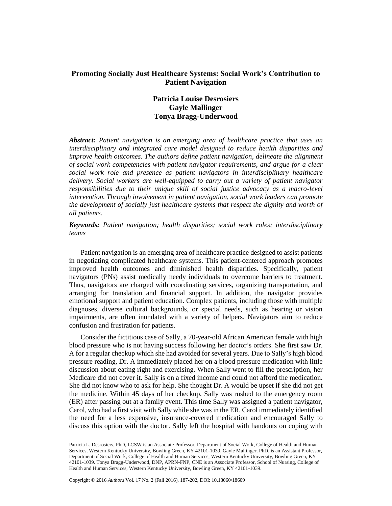## **Promoting Socially Just Healthcare Systems: Social Work's Contribution to Patient Navigation**

# **Patricia Louise Desrosiers Gayle Mallinger Tonya Bragg-Underwood**

*Abstract: Patient navigation is an emerging area of healthcare practice that uses an interdisciplinary and integrated care model designed to reduce health disparities and improve health outcomes. The authors define patient navigation, delineate the alignment of social work competencies with patient navigator requirements, and argue for a clear social work role and presence as patient navigators in interdisciplinary healthcare delivery. Social workers are well-equipped to carry out a variety of patient navigator responsibilities due to their unique skill of social justice advocacy as a macro-level intervention. Through involvement in patient navigation, social work leaders can promote the development of socially just healthcare systems that respect the dignity and worth of all patients.*

## *Keywords: Patient navigation; health disparities; social work roles; interdisciplinary teams*

Patient navigation is an emerging area of healthcare practice designed to assist patients in negotiating complicated healthcare systems. This patient-centered approach promotes improved health outcomes and diminished health disparities. Specifically, patient navigators (PNs) assist medically needy individuals to overcome barriers to treatment. Thus, navigators are charged with coordinating services, organizing transportation, and arranging for translation and financial support. In addition, the navigator provides emotional support and patient education. Complex patients, including those with multiple diagnoses, diverse cultural backgrounds, or special needs, such as hearing or vision impairments, are often inundated with a variety of helpers. Navigators aim to reduce confusion and frustration for patients.

Consider the fictitious case of Sally, a 70-year-old African American female with high blood pressure who is not having success following her doctor's orders. She first saw Dr. A for a regular checkup which she had avoided for several years. Due to Sally's high blood pressure reading, Dr. A immediately placed her on a blood pressure medication with little discussion about eating right and exercising. When Sally went to fill the prescription, her Medicare did not cover it. Sally is on a fixed income and could not afford the medication. She did not know who to ask for help. She thought Dr. A would be upset if she did not get the medicine. Within 45 days of her checkup, Sally was rushed to the emergency room (ER) after passing out at a family event. This time Sally was assigned a patient navigator, Carol, who had a first visit with Sally while she was in the ER. Carol immediately identified the need for a less expensive, insurance-covered medication and encouraged Sally to discuss this option with the doctor. Sally left the hospital with handouts on coping with

\_\_\_\_\_\_\_\_\_\_\_\_\_\_\_\_\_\_\_\_\_\_

Patricia L. Desrosiers, PhD, LCSW is an Associate Professor, Department of Social Work, College of Health and Human Services, Western Kentucky University, Bowling Green, KY 42101-1039. Gayle Mallinger, PhD, is an Assistant Professor, Department of Social Work, College of Health and Human Services, Western Kentucky University, Bowling Green, KY 42101-1039. Tonya Bragg-Underwood, DNP, APRN-FNP, CNE is an Associate Professor, School of Nursing, College of Health and Human Services, Western Kentucky University, Bowling Green, KY 42101-1039.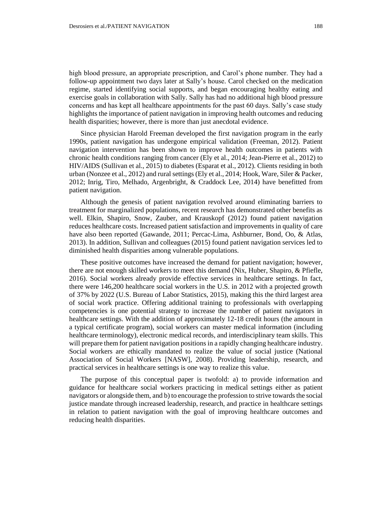high blood pressure, an appropriate prescription, and Carol's phone number. They had a follow-up appointment two days later at Sally's house. Carol checked on the medication regime, started identifying social supports, and began encouraging healthy eating and exercise goals in collaboration with Sally. Sally has had no additional high blood pressure concerns and has kept all healthcare appointments for the past 60 days. Sally's case study highlights the importance of patient navigation in improving health outcomes and reducing health disparities; however, there is more than just anecdotal evidence.

Since physician Harold Freeman developed the first navigation program in the early 1990s, patient navigation has undergone empirical validation (Freeman, 2012). Patient navigation intervention has been shown to improve health outcomes in patients with chronic health conditions ranging from cancer (Ely et al., 2014; Jean-Pierre et al., 2012) to HIV/AIDS (Sullivan et al., 2015) to diabetes (Esparat et al., 2012). Clients residing in both urban (Nonzee et al., 2012) and rural settings (Ely et al., 2014; Hook, Ware, Siler & Packer, 2012; Inrig, Tiro, Melhado, Argenbright, & Craddock Lee, 2014) have benefitted from patient navigation.

Although the genesis of patient navigation revolved around eliminating barriers to treatment for marginalized populations, recent research has demonstrated other benefits as well. Elkin, Shapiro, Snow, Zauber, and Krauskopf (2012) found patient navigation reduces healthcare costs. Increased patient satisfaction and improvements in quality of care have also been reported (Gawande, 2011; Percac-Lima, Ashburner, Bond, Oo, & Atlas, 2013). In addition, Sullivan and colleagues (2015) found patient navigation services led to diminished health disparities among vulnerable populations.

These positive outcomes have increased the demand for patient navigation; however, there are not enough skilled workers to meet this demand (Nix, Huber, Shapiro, & Pfiefle, 2016). Social workers already provide effective services in healthcare settings. In fact, there were 146,200 healthcare social workers in the U.S. in 2012 with a projected growth of 37% by 2022 (U.S. Bureau of Labor Statistics, 2015), making this the third largest area of social work practice. Offering additional training to professionals with overlapping competencies is one potential strategy to increase the number of patient navigators in healthcare settings. With the addition of approximately 12-18 credit hours (the amount in a typical certificate program), social workers can master medical information (including healthcare terminology), electronic medical records, and interdisciplinary team skills. This will prepare them for patient navigation positions in a rapidly changing healthcare industry. Social workers are ethically mandated to realize the value of social justice (National Association of Social Workers [NASW], 2008). Providing leadership, research, and practical services in healthcare settings is one way to realize this value.

The purpose of this conceptual paper is twofold: a) to provide information and guidance for healthcare social workers practicing in medical settings either as patient navigators or alongside them, and b) to encourage the profession to strive towards the social justice mandate through increased leadership, research, and practice in healthcare settings in relation to patient navigation with the goal of improving healthcare outcomes and reducing health disparities.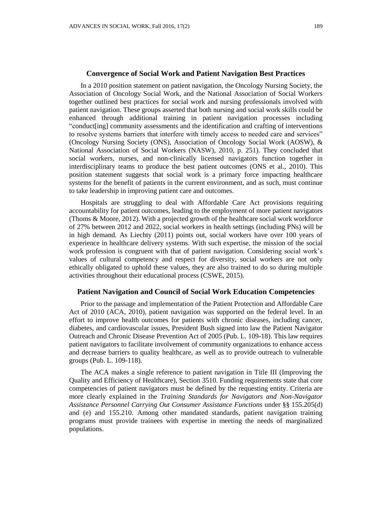## **Convergence of Social Work and Patient Navigation Best Practices**

In a 2010 position statement on patient navigation, the Oncology Nursing Society, the Association of Oncology Social Work, and the National Association of Social Workers together outlined best practices for social work and nursing professionals involved with patient navigation. These groups asserted that both nursing and social work skills could be enhanced through additional training in patient navigation processes including "conduct[ing] community assessments and the identification and crafting of interventions to resolve systems barriers that interfere with timely access to needed care and services" (Oncology Nursing Society (ONS), Association of Oncology Social Work (AOSW), & National Association of Social Workers (NASW), 2010, p. 251). They concluded that social workers, nurses, and non-clinically licensed navigators function together in interdisciplinary teams to produce the best patient outcomes (ONS et al., 2010). This position statement suggests that social work is a primary force impacting healthcare systems for the benefit of patients in the current environment, and as such, must continue to take leadership in improving patient care and outcomes.

Hospitals are struggling to deal with Affordable Care Act provisions requiring accountability for patient outcomes, leading to the employment of more patient navigators (Thoms & Moore, 2012). With a projected growth of the healthcare social work workforce of 27% between 2012 and 2022, social workers in health settings (including PNs) will be in high demand. As Liechty (2011) points out, social workers have over 100 years of experience in healthcare delivery systems. With such expertise, the mission of the social work profession is congruent with that of patient navigation. Considering social work's values of cultural competency and respect for diversity, social workers are not only ethically obligated to uphold these values, they are also trained to do so during multiple activities throughout their educational process (CSWE, 2015).

## **Patient Navigation and Council of Social Work Education Competencies**

Prior to the passage and implementation of the Patient Protection and Affordable Care Act of 2010 (ACA, 2010), patient navigation was supported on the federal level. In an effort to improve health outcomes for patients with chronic diseases, including cancer, diabetes, and cardiovascular issues, President Bush signed into law the Patient Navigator Outreach and Chronic Disease Prevention Act of 2005 (Pub. L. 109-18). This law requires patient navigators to facilitate involvement of community organizations to enhance access and decrease barriers to quality healthcare, as well as to provide outreach to vulnerable groups (Pub. L. 109-118).

The ACA makes a single reference to patient navigation in Title III (Improving the Quality and Efficiency of Healthcare), Section 3510. Funding requirements state that core competencies of patient navigators must be defined by the requesting entity. Criteria are more clearly explained in the *Training Standards for Navigators and Non-Navigator Assistance Personnel Carrying Out Consumer Assistance Functions* under §§ 155.205(d) and (e) and 155.210. Among other mandated standards, patient navigation training programs must provide trainees with expertise in meeting the needs of marginalized populations.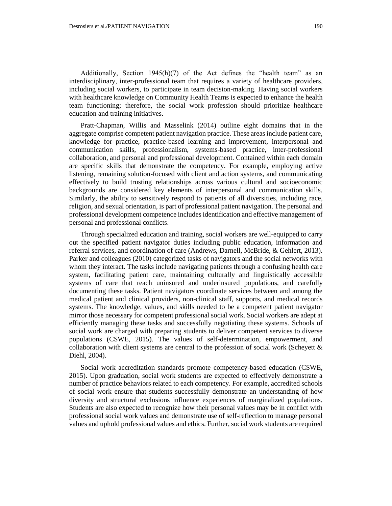Additionally, Section 1945(h)(7) of the Act defines the "health team" as an interdisciplinary, inter-professional team that requires a variety of healthcare providers, including social workers, to participate in team decision-making. Having social workers with healthcare knowledge on Community Health Teams is expected to enhance the health team functioning; therefore, the social work profession should prioritize healthcare education and training initiatives.

Pratt-Chapman, Willis and Masselink (2014) outline eight domains that in the aggregate comprise competent patient navigation practice. These areas include patient care, knowledge for practice, practice-based learning and improvement, interpersonal and communication skills, professionalism, systems-based practice, inter-professional collaboration, and personal and professional development. Contained within each domain are specific skills that demonstrate the competency. For example, employing active listening, remaining solution-focused with client and action systems, and communicating effectively to build trusting relationships across various cultural and socioeconomic backgrounds are considered key elements of interpersonal and communication skills. Similarly, the ability to sensitively respond to patients of all diversities, including race, religion, and sexual orientation, is part of professional patient navigation. The personal and professional development competence includes identification and effective management of personal and professional conflicts.

Through specialized education and training, social workers are well-equipped to carry out the specified patient navigator duties including public education, information and referral services, and coordination of care (Andrews, Darnell, McBride, & Gehlert, 2013). Parker and colleagues (2010) categorized tasks of navigators and the social networks with whom they interact. The tasks include navigating patients through a confusing health care system, facilitating patient care, maintaining culturally and linguistically accessible systems of care that reach uninsured and underinsured populations, and carefully documenting these tasks. Patient navigators coordinate services between and among the medical patient and clinical providers, non-clinical staff, supports, and medical records systems. The knowledge, values, and skills needed to be a competent patient navigator mirror those necessary for competent professional social work. Social workers are adept at efficiently managing these tasks and successfully negotiating these systems. Schools of social work are charged with preparing students to deliver competent services to diverse populations (CSWE, 2015). The values of self-determination, empowerment, and collaboration with client systems are central to the profession of social work (Scheyett  $\&$ Diehl, 2004).

Social work accreditation standards promote competency-based education (CSWE, 2015). Upon graduation, social work students are expected to effectively demonstrate a number of practice behaviors related to each competency. For example, accredited schools of social work ensure that students successfully demonstrate an understanding of how diversity and structural exclusions influence experiences of marginalized populations. Students are also expected to recognize how their personal values may be in conflict with professional social work values and demonstrate use of self-reflection to manage personal values and uphold professional values and ethics. Further, social work students are required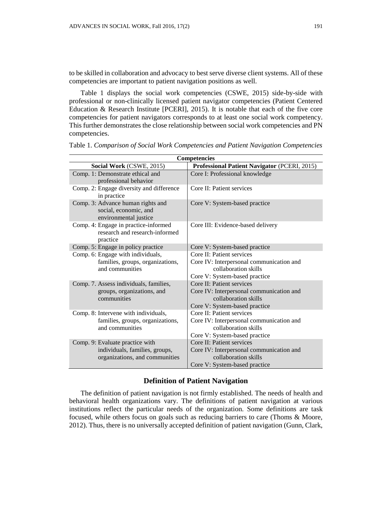to be skilled in collaboration and advocacy to best serve diverse client systems. All of these competencies are important to patient navigation positions as well.

Table 1 displays the social work competencies (CSWE, 2015) side-by-side with professional or non-clinically licensed patient navigator competencies (Patient Centered Education & Research Institute [PCERI], 2015). It is notable that each of the five core competencies for patient navigators corresponds to at least one social work competency. This further demonstrates the close relationship between social work competencies and PN competencies.

| Competencies                                                                                        |                                                                                                                                |  |  |
|-----------------------------------------------------------------------------------------------------|--------------------------------------------------------------------------------------------------------------------------------|--|--|
| Social Work (CSWE, 2015)                                                                            | Professional Patient Navigator (PCERI, 2015)                                                                                   |  |  |
| Comp. 1: Demonstrate ethical and<br>professional behavior                                           | Core I: Professional knowledge                                                                                                 |  |  |
| Comp. 2: Engage diversity and difference<br>in practice                                             | Core II: Patient services                                                                                                      |  |  |
| Comp. 3: Advance human rights and<br>social, economic, and<br>environmental justice                 | Core V: System-based practice                                                                                                  |  |  |
| Comp. 4: Engage in practice-informed<br>research and research-informed<br>practice                  | Core III: Evidence-based delivery                                                                                              |  |  |
| Comp. 5: Engage in policy practice                                                                  | Core V: System-based practice                                                                                                  |  |  |
| Comp. 6: Engage with individuals,<br>families, groups, organizations,<br>and communities            | Core II: Patient services<br>Core IV: Interpersonal communication and<br>collaboration skills<br>Core V: System-based practice |  |  |
| Comp. 7. Assess individuals, families,<br>groups, organizations, and<br>communities                 | Core II: Patient services<br>Core IV: Interpersonal communication and<br>collaboration skills<br>Core V: System-based practice |  |  |
| Comp. 8: Intervene with individuals,<br>families, groups, organizations,<br>and communities         | Core II: Patient services<br>Core IV: Interpersonal communication and<br>collaboration skills<br>Core V: System-based practice |  |  |
| Comp. 9: Evaluate practice with<br>individuals, families, groups,<br>organizations, and communities | Core II: Patient services<br>Core IV: Interpersonal communication and<br>collaboration skills<br>Core V: System-based practice |  |  |

Table 1. *Comparison of Social Work Competencies and Patient Navigation Competencies*

## **Definition of Patient Navigation**

The definition of patient navigation is not firmly established. The needs of health and behavioral health organizations vary. The definitions of patient navigation at various institutions reflect the particular needs of the organization. Some definitions are task focused, while others focus on goals such as reducing barriers to care (Thoms & Moore, 2012). Thus, there is no universally accepted definition of patient navigation (Gunn, Clark,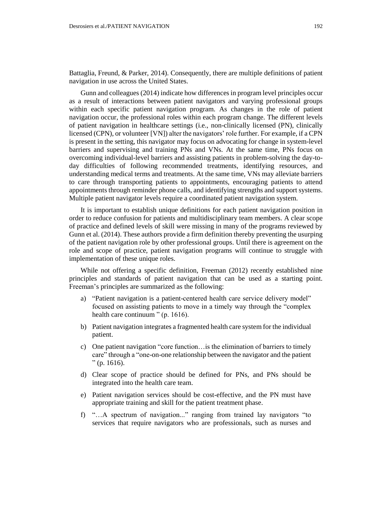Battaglia, Freund, & Parker, 2014). Consequently, there are multiple definitions of patient navigation in use across the United States.

Gunn and colleagues (2014) indicate how differences in program level principles occur as a result of interactions between patient navigators and varying professional groups within each specific patient navigation program. As changes in the role of patient navigation occur, the professional roles within each program change. The different levels of patient navigation in healthcare settings (i.e., non-clinically licensed (PN), clinically licensed (CPN), or volunteer [VN]) alter the navigators' role further. For example, if a CPN is present in the setting, this navigator may focus on advocating for change in system-level barriers and supervising and training PNs and VNs. At the same time, PNs focus on overcoming individual-level barriers and assisting patients in problem-solving the day-today difficulties of following recommended treatments, identifying resources, and understanding medical terms and treatments. At the same time, VNs may alleviate barriers to care through transporting patients to appointments, encouraging patients to attend appointments through reminder phone calls, and identifying strengths and support systems. Multiple patient navigator levels require a coordinated patient navigation system.

It is important to establish unique definitions for each patient navigation position in order to reduce confusion for patients and multidisciplinary team members. A clear scope of practice and defined levels of skill were missing in many of the programs reviewed by Gunn et al. (2014). These authors provide a firm definition thereby preventing the usurping of the patient navigation role by other professional groups. Until there is agreement on the role and scope of practice, patient navigation programs will continue to struggle with implementation of these unique roles.

While not offering a specific definition, Freeman (2012) recently established nine principles and standards of patient navigation that can be used as a starting point. Freeman's principles are summarized as the following:

- a) "Patient navigation is a patient-centered health care service delivery model" focused on assisting patients to move in a timely way through the "complex health care continuum " (p. 1616).
- b) Patient navigation integrates a fragmented health care system for the individual patient.
- c) One patient navigation "core function…is the elimination of barriers to timely care" through a "one-on-one relationship between the navigator and the patient  $"$  (p. 1616).
- d) Clear scope of practice should be defined for PNs, and PNs should be integrated into the health care team.
- e) Patient navigation services should be cost-effective, and the PN must have appropriate training and skill for the patient treatment phase.
- f) "…A spectrum of navigation..." ranging from trained lay navigators "to services that require navigators who are professionals, such as nurses and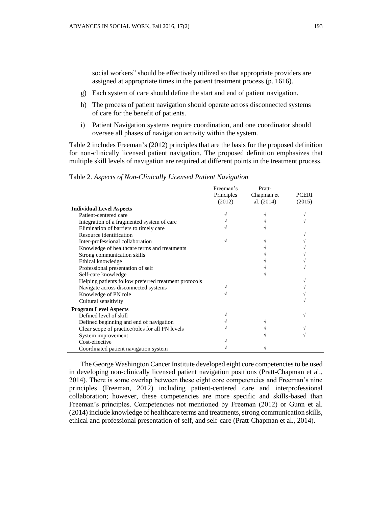social workers" should be effectively utilized so that appropriate providers are assigned at appropriate times in the patient treatment process (p. 1616).

- g) Each system of care should define the start and end of patient navigation.
- h) The process of patient navigation should operate across disconnected systems of care for the benefit of patients.
- i) Patient Navigation systems require coordination, and one coordinator should oversee all phases of navigation activity within the system.

Table 2 includes Freeman's (2012) principles that are the basis for the proposed definition for non-clinically licensed patient navigation. The proposed definition emphasizes that multiple skill levels of navigation are required at different points in the treatment process.

|                                                       | Freeman's  | Pratt-       |              |
|-------------------------------------------------------|------------|--------------|--------------|
|                                                       | Principles | Chapman et   | <b>PCERI</b> |
|                                                       | (2012)     | al. $(2014)$ | (2015)       |
| <b>Individual Level Aspects</b>                       |            |              |              |
| Patient-centered care                                 |            |              |              |
| Integration of a fragmented system of care            |            |              |              |
| Elimination of barriers to timely care                |            |              |              |
| Resource identification                               |            |              |              |
| Inter-professional collaboration                      |            |              |              |
| Knowledge of healthcare terms and treatments          |            |              |              |
| Strong communication skills                           |            |              |              |
| Ethical knowledge                                     |            |              |              |
| Professional presentation of self                     |            |              |              |
| Self-care knowledge                                   |            |              |              |
| Helping patients follow preferred treatment protocols |            |              |              |
| Navigate across disconnected systems                  |            |              |              |
| Knowledge of PN role                                  |            |              |              |
| Cultural sensitivity                                  |            |              |              |
| <b>Program Level Aspects</b>                          |            |              |              |
| Defined level of skill                                |            |              |              |
| Defined beginning and end of navigation               |            |              |              |
| Clear scope of practice/roles for all PN levels       |            |              |              |
| System improvement                                    |            |              |              |
| Cost-effective                                        |            |              |              |
| Coordinated patient navigation system                 |            |              |              |

Table 2. *Aspects of Non-Clinically Licensed Patient Navigation*

The George Washington Cancer Institute developed eight core competencies to be used in developing non-clinically licensed patient navigation positions (Pratt-Chapman et al., 2014). There is some overlap between these eight core competencies and Freeman's nine principles (Freeman, 2012) including patient-centered care and interprofessional collaboration; however, these competencies are more specific and skills-based than Freeman's principles. Competencies not mentioned by Freeman (2012) or Gunn et al. (2014) include knowledge of healthcare terms and treatments, strong communication skills, ethical and professional presentation of self, and self-care (Pratt-Chapman et al., 2014).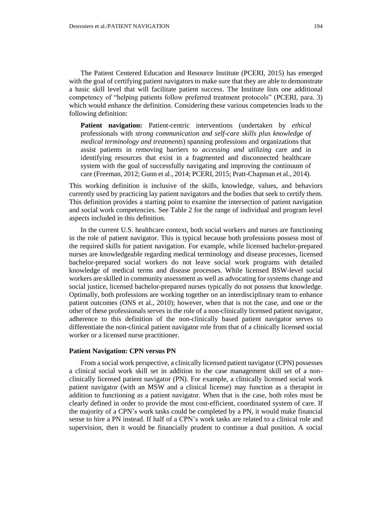The Patient Centered Education and Resource Institute (PCERI, 2015) has emerged with the goal of certifying patient navigators to make sure that they are able to demonstrate a basic skill level that will facilitate patient success. The Institute lists one additional competency of "helping patients follow preferred treatment protocols" [\(PCERI,](http://patient-institute.org/education.html) para. 3) which would enhance the definition. Considering these various competencies leads to the following definition:

**Patient navigation:** Patient-centric interventions (undertaken by *ethical*  professionals with *strong communication and self-care skills plus knowledge of medical terminology and treatments*) spanning professions and organizations that assist patients in removing barriers to *accessing and utilizing* care and in identifying resources that exist in a fragmented and disconnected healthcare system with the goal of successfully navigating and improving the continuum of care (Freeman, 2012; Gunn et al., 2014; PCERI, 2015; Pratt-Chapman et al., 2014).

This working definition is inclusive of the skills, knowledge, values, and behaviors currently used by practicing lay patient navigators and the bodies that seek to certify them. This definition provides a starting point to examine the intersection of patient navigation and social work competencies. See Table 2 for the range of individual and program level aspects included in this definition.

In the current U.S. healthcare context, both social workers and nurses are functioning in the role of patient navigator. This is typical because both professions possess most of the required skills for patient navigation. For example, while licensed bachelor-prepared nurses are knowledgeable regarding medical terminology and disease processes, licensed bachelor-prepared social workers do not leave social work programs with detailed knowledge of medical terms and disease processes. While licensed BSW-level social workers are skilled in community assessment as well as advocating for systems change and social justice, licensed bachelor-prepared nurses typically do not possess that knowledge. Optimally, both professions are working together on an interdisciplinary team to enhance patient outcomes (ONS et al., 2010); however, when that is not the case, and one or the other of these professionals serves in the role of a non-clinically licensed patient navigator, adherence to this definition of the non-clinically based patient navigator serves to differentiate the non-clinical patient navigator role from that of a clinically licensed social worker or a licensed nurse practitioner.

#### **Patient Navigation: CPN versus PN**

From a social work perspective, a clinically licensed patient navigator (CPN) possesses a clinical social work skill set in addition to the case management skill set of a nonclinically licensed patient navigator (PN). For example, a clinically licensed social work patient navigator (with an MSW and a clinical license) may function as a therapist in addition to functioning as a patient navigator. When that is the case, both roles must be clearly defined in order to provide the most cost-efficient, coordinated system of care. If the majority of a CPN's work tasks could be completed by a PN, it would make financial sense to hire a PN instead. If half of a CPN's work tasks are related to a clinical role and supervision, then it would be financially prudent to continue a dual position. A social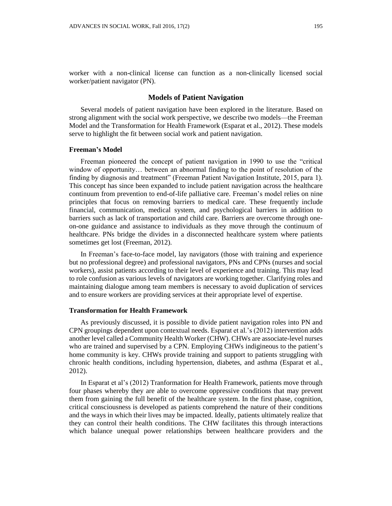worker with a non-clinical license can function as a non-clinically licensed social worker/patient navigator (PN).

#### **Models of Patient Navigation**

Several models of patient navigation have been explored in the literature. Based on strong alignment with the social work perspective, we describe two models—the Freeman Model and the Transformation for Health Framework (Esparat et al., 2012). These models serve to highlight the fit between social work and patient navigation.

#### **Freeman's Model**

Freeman pioneered the concept of patient navigation in 1990 to use the "critical window of opportunity… between an abnormal finding to the point of resolution of the finding by diagnosis and treatment" (Freeman Patient Navigation Institute, 2015, para 1). This concept has since been expanded to include patient navigation across the healthcare continuum from prevention to end-of-life palliative care. Freeman's model relies on nine principles that focus on removing barriers to medical care. These frequently include financial, communication, medical system, and psychological barriers in addition to barriers such as lack of transportation and child care. Barriers are overcome through oneon-one guidance and assistance to individuals as they move through the continuum of healthcare. PNs bridge the divides in a disconnected healthcare system where patients sometimes get lost (Freeman, 2012).

In Freeman's face-to-face model, lay navigators (those with training and experience but no professional degree) and professional navigators, PNs and CPNs (nurses and social workers), assist patients according to their level of experience and training. This may lead to role confusion as various levels of navigators are working together. Clarifying roles and maintaining dialogue among team members is necessary to avoid duplication of services and to ensure workers are providing services at their appropriate level of expertise.

#### **Transformation for Health Framework**

As previously discussed, it is possible to divide patient navigation roles into PN and CPN groupings dependent upon contextual needs. Esparat et al.'s (2012) intervention adds another level called a Community Health Worker (CHW). CHWs are associate-level nurses who are trained and supervised by a CPN. Employing CHWs indigineous to the patient's home community is key. CHWs provide training and support to patients struggling with chronic health conditions, including hypertension, diabetes, and asthma (Esparat et al., 2012).

In Esparat et al's (2012) Tranformation for Health Framework, patients move through four phases whereby they are able to overcome oppressive conditions that may prevent them from gaining the full benefit of the healthcare system. In the first phase, cognition, critical consciousness is developed as patients comprehend the nature of their conditions and the ways in which their lives may be impacted. Ideally, patients ultimately realize that they can control their health conditions. The CHW facilitates this through interactions which balance unequal power relationships between healthcare providers and the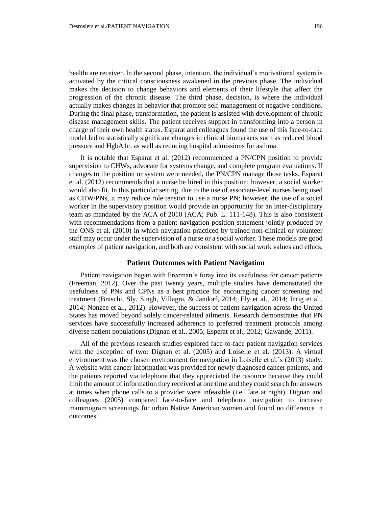healthcare receiver. In the second phase, intention, the individual's motivational system is activated by the critical consciousness awakened in the previous phase. The individual makes the decision to change behaviors and elements of their lifestyle that affect the progression of the chronic disease. The third phase, decision, is where the individual actually makes changes in behavior that promote self-management of negative conditions. During the final phase, transformation, the patient is assisted with development of chronic disease management skills. The patient receives support in transforming into a person in charge of their own health status. Esparat and colleagues found the use of this face-to-face model led to statistically significant changes in clinical biomarkers such as reduced blood pressure and HgbA1c, as well as reducing hospital admissions for asthma.

It is notable that Esparat et al. (2012) recommended a PN/CPN position to provide supervision to CHWs, advocate for systems change, and complete program evaluations. If changes to the position or system were needed, the PN/CPN manage those tasks. Esparat et al. (2012) recommends that a nurse be hired in this position; however, a social worker would also fit. In this particular setting, due to the use of associate-level nurses being used as CHW/PNs, it may reduce role tension to use a nurse PN; however, the use of a social worker in the supervisory position would provide an opportunity for an inter-disciplinary team as mandated by the ACA of 2010 (ACA; Pub. L. 111-148). This is also consistent with recommendations from a patient navigation position statement jointly produced by the ONS et al. (2010) in which navigation practiced by trained non-clinical or volunteer staff may occur under the supervision of a nurse or a social worker. These models are good examples of patient navigation, and both are consistent with social work values and ethics.

## **Patient Outcomes with Patient Navigation**

Patient navigation began with Freeman's foray into its usefulness for cancer patients (Freeman, 2012). Over the past twenty years, multiple studies have demonstrated the usefulness of PNs and CPNs as a best practice for encouraging cancer screening and treatment (Braschi, Sly, Singh, Villagra, & Jandorf, 2014; Ely et al., 2014; Inrig et al., 2014; Nonzee et al., 2012). However, the success of patient navigation across the United States has moved beyond solely cancer-related ailments. Research demonstrates that PN services have successfully increased adherence to preferred treatment protocols among diverse patient populations (Dignan et al., 2005; Esperat et al., 2012; Gawande, 2011).

All of the previous research studies explored face-to-face patient navigation services with the exception of two: Dignan et al. (2005) and Loiselle et al. (2013). A virtual environment was the chosen environment for navigation in Loiselle et al.'s (2013) study. A website with cancer information was provided for newly diagnosed cancer patients, and the patients reported via telephone that they appreciated the resource because they could limit the amount of information they received at one time and they could search for answers at times when phone calls to a provider were infeasible (i.e., late at night). Dignan and colleagues (2005) compared face-to-face and telephonic navigation to increase mammogram screenings for urban Native American women and found no difference in outcomes.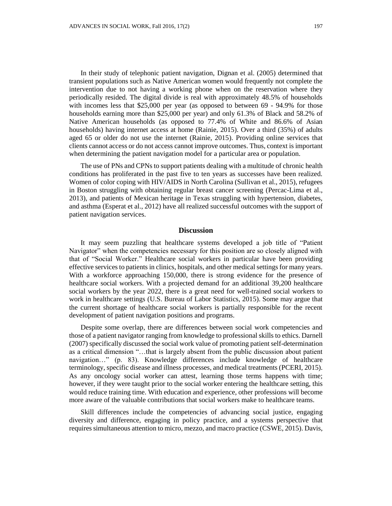In their study of telephonic patient navigation, Dignan et al. (2005) determined that transient populations such as Native American women would frequently not complete the intervention due to not having a working phone when on the reservation where they periodically resided. The digital divide is real with approximately 48.5% of households with incomes less that \$25,000 per year (as opposed to between 69 - 94.9% for those households earning more than \$25,000 per year) and only 61.3% of Black and 58.2% of Native American households (as opposed to 77.4% of White and 86.6% of Asian households) having internet access at home (Rainie, 2015). Over a third (35%) of adults aged 65 or older do not use the internet (Rainie, 2015). Providing online services that clients cannot access or do not access cannot improve outcomes. Thus, context is important when determining the patient navigation model for a particular area or population.

The use of PNs and CPNs to support patients dealing with a multitude of chronic health conditions has proliferated in the past five to ten years as successes have been realized. Women of color coping with HIV/AIDS in North Carolina (Sullivan et al., 2015), refugees in Boston struggling with obtaining regular breast cancer screening (Percac-Lima et al., 2013), and patients of Mexican heritage in Texas struggling with hypertension, diabetes, and asthma (Esperat et al., 2012) have all realized successful outcomes with the support of patient navigation services.

#### **Discussion**

It may seem puzzling that healthcare systems developed a job title of "Patient Navigator" when the competencies necessary for this position are so closely aligned with that of "Social Worker." Healthcare social workers in particular have been providing effective services to patients in clinics, hospitals, and other medical settings for many years. With a workforce approaching 150,000, there is strong evidence for the presence of healthcare social workers. With a projected demand for an additional 39,200 healthcare social workers by the year 2022, there is a great need for well-trained social workers to work in healthcare settings (U.S. Bureau of Labor Statistics, 2015). Some may argue that the current shortage of healthcare social workers is partially responsible for the recent development of patient navigation positions and programs.

Despite some overlap, there are differences between social work competencies and those of a patient navigator ranging from knowledge to professional skills to ethics. Darnell (2007) specifically discussed the social work value of promoting patient self-determination as a critical dimension "…that is largely absent from the public discussion about patient navigation…" (p. 83). Knowledge differences include knowledge of healthcare terminology, specific disease and illness processes, and medical treatments (PCERI, 2015). As any oncology social worker can attest, learning those terms happens with time; however, if they were taught prior to the social worker entering the healthcare setting, this would reduce training time. With education and experience, other professions will become more aware of the valuable contributions that social workers make to healthcare teams.

Skill differences include the competencies of advancing social justice, engaging diversity and difference, engaging in policy practice, and a systems perspective that requires simultaneous attention to micro, mezzo, and macro practice (CSWE, 2015). Davis,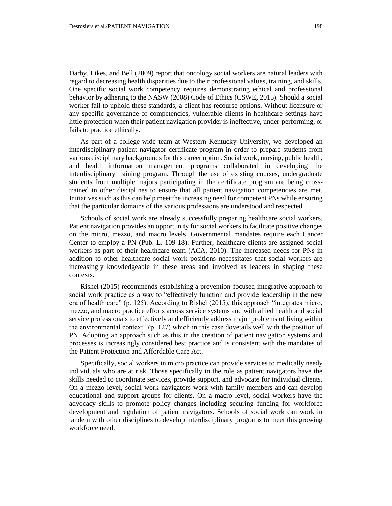Darby, Likes, and Bell (2009) report that oncology social workers are natural leaders with regard to decreasing health disparities due to their professional values, training, and skills. One specific social work competency requires demonstrating ethical and professional behavior by adhering to the NASW (2008) Code of Ethics (CSWE, 2015). Should a social worker fail to uphold these standards, a client has recourse options. Without licensure or any specific governance of competencies, vulnerable clients in healthcare settings have little protection when their patient navigation provider is ineffective, under-performing, or fails to practice ethically.

As part of a college-wide team at Western Kentucky University, we developed an interdisciplinary patient navigator certificate program in order to prepare students from various disciplinary backgrounds for this career option. Social work, nursing, public health, and health information management programs collaborated in developing the interdisciplinary training program. Through the use of existing courses, undergraduate students from multiple majors participating in the certificate program are being crosstrained in other disciplines to ensure that all patient navigation competencies are met. Initiatives such as this can help meet the increasing need for competent PNs while ensuring that the particular domains of the various professions are understood and respected.

Schools of social work are already successfully preparing healthcare social workers. Patient navigation provides an opportunity for social workers to facilitate positive changes on the micro, mezzo, and macro levels. Governmental mandates require each Cancer Center to employ a PN (Pub. L. 109-18). Further, healthcare clients are assigned social workers as part of their healthcare team (ACA, 2010). The increased needs for PNs in addition to other healthcare social work positions necessitates that social workers are increasingly knowledgeable in these areas and involved as leaders in shaping these contexts.

Rishel (2015) recommends establishing a prevention-focused integrative approach to social work practice as a way to "effectively function and provide leadership in the new era of health care" (p. 125). According to Rishel (2015), this approach "integrates micro, mezzo, and macro practice efforts across service systems and with allied health and social service professionals to effectively and efficiently address major problems of living within the environmental context" (p. 127) which in this case dovetails well with the position of PN. Adopting an approach such as this in the creation of patient navigation systems and processes is increasingly considered best practice and is consistent with the mandates of the Patient Protection and Affordable Care Act.

Specifically, social workers in micro practice can provide services to medically needy individuals who are at risk. Those specifically in the role as patient navigators have the skills needed to coordinate services, provide support, and advocate for individual clients. On a mezzo level, social work navigators work with family members and can develop educational and support groups for clients. On a macro level, social workers have the advocacy skills to promote policy changes including securing funding for workforce development and regulation of patient navigators. Schools of social work can work in tandem with other disciplines to develop interdisciplinary programs to meet this growing workforce need.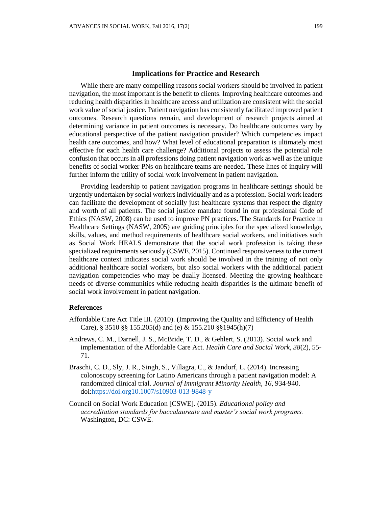## **Implications for Practice and Research**

While there are many compelling reasons social workers should be involved in patient navigation, the most important is the benefit to clients. Improving healthcare outcomes and reducing health disparities in healthcare access and utilization are consistent with the social work value of social justice. Patient navigation has consistently facilitated improved patient outcomes. Research questions remain, and development of research projects aimed at determining variance in patient outcomes is necessary. Do healthcare outcomes vary by educational perspective of the patient navigation provider? Which competencies impact health care outcomes, and how? What level of educational preparation is ultimately most effective for each health care challenge? Additional projects to assess the potential role confusion that occurs in all professions doing patient navigation work as well as the unique benefits of social worker PNs on healthcare teams are needed. These lines of inquiry will further inform the utility of social work involvement in patient navigation.

Providing leadership to patient navigation programs in healthcare settings should be urgently undertaken by social workers individually and as a profession. Social work leaders can facilitate the development of socially just healthcare systems that respect the dignity and worth of all patients. The social justice mandate found in our professional Code of Ethics (NASW, 2008) can be used to improve PN practices. The Standards for Practice in Healthcare Settings (NASW, 2005) are guiding principles for the specialized knowledge, skills, values, and method requirements of healthcare social workers, and initiatives such as Social Work HEALS demonstrate that the social work profession is taking these specialized requirements seriously (CSWE, 2015). Continued responsiveness to the current healthcare context indicates social work should be involved in the training of not only additional healthcare social workers, but also social workers with the additional patient navigation competencies who may be dually licensed. Meeting the growing healthcare needs of diverse communities while reducing health disparities is the ultimate benefit of social work involvement in patient navigation.

#### **References**

- Affordable Care Act Title III. (2010). (Improving the Quality and Efficiency of Health Care), § 3510 §§ 155.205(d) and (e) & 155.210 §§1945(h)(7)
- Andrews, C. M., Darnell, J. S., McBride, T. D., & Gehlert, S. (2013). Social work and implementation of the Affordable Care Act. *Health Care and Social Work, 38*(2), 55- 71.
- Braschi, C. D., Sly, J. R., Singh, S., Villagra, C., & Jandorf, L. (2014). Increasing colonoscopy screening for Latino Americans through a patient navigation model: A randomized clinical trial. *Journal of Immigrant Minority Health, 16*, 934-940. [doi:https://doi.org10.1007/s10903-013-9848-y](http://doi.org/10.1007/s10903-013-9848-y)
- Council on Social Work Education [CSWE]. (2015). *Educational policy and accreditation standards for baccalaureate and master's social work programs.*  Washington, DC: CSWE.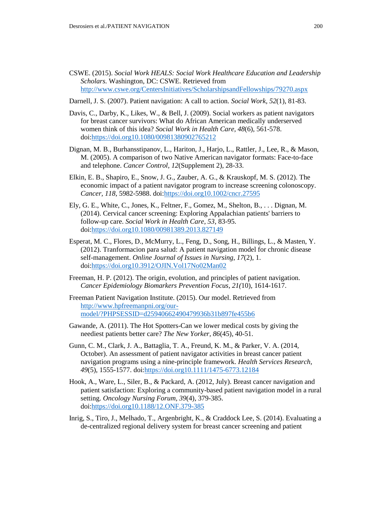- CSWE. (2015). *Social Work HEALS: Social Work Healthcare Education and Leadership Scholars.* Washington, DC: CSWE. Retrieved from <http://www.cswe.org/CentersInitiatives/ScholarshipsandFellowships/79270.aspx>
- Darnell, J. S. (2007). Patient navigation: A call to action. *Social Work, 52*(1), 81-83.
- Davis, C., Darby, K., Likes, W., & Bell, J. (2009). Social workers as patient navigators for breast cancer survivors: What do African American medically underserved women think of this idea? *Social Work in Health Care, 48*(6), 561-578. [doi:https://doi.org10.1080/00981380902765212](http://doi.org/10.1080/00981380902765212)
- Dignan, M. B., Burhansstipanov, L., Hariton, J., Harjo, L., Rattler, J., Lee, R., & Mason, M. (2005). A comparison of two Native American navigator formats: Face-to-face and telephone. *Cancer Control, 12*(Supplement 2), 28-33.
- Elkin, E. B., Shapiro, E., Snow, J. G., Zauber, A. G., & Krauskopf, M. S. (2012). The economic impact of a patient navigator program to increase screening colonoscopy. *Cancer, 118*, 5982-5988. [doi:https://doi.org10.1002/cncr.27595](http://doi.org/10.1002/cncr.27595)
- Ely, G. E., White, C., Jones, K., Feltner, F., Gomez, M., Shelton, B., . . . Dignan, M. (2014). Cervical cancer screening: Exploring Appalachian patients' barriers to follow-up care. *Social Work in Health Care, 53*, 83-95. [doi:https://doi.org10.1080/00981389.2013.827149](http://doi.org/10.1080/00981389.2013.827149)
- Esperat, M. C., Flores, D., McMurry, L., Feng, D., Song, H., Billings, L., & Masten, Y. (2012). Tranformacion para salud: A patient navigation model for chronic disease self-management. *Online Journal of Issues in Nursing, 17*(2), 1. [doi:https://doi.org10.3912/OJIN.Vol17No02Man02](http://doi.org/10.3912/OJIN.Vol17No02Man02)
- Freeman, H. P. (2012). The origin, evolution, and principles of patient navigation. *Cancer Epidemiology Biomarkers Prevention Focus*, *21(*10), 1614-1617.
- Freeman Patient Navigation Institute. (2015). Our model. Retrieved from [http://www.hpfreemanpni.org/our](http://www.hpfreemanpni.org/our-model/?PHPSESSID=d25940662490479936b31b897fe455b6)[model/?PHPSESSID=d25940662490479936b31b897fe455b6](http://www.hpfreemanpni.org/our-model/?PHPSESSID=d25940662490479936b31b897fe455b6)
- Gawande, A. (2011). The Hot Spotters-Can we lower medical costs by giving the neediest patients better care? *The New Yorker, 86*(45), 40-51.
- Gunn, C. M., Clark, J. A., Battaglia, T. A., Freund, K. M., & Parker, V. A. (2014, October). An assessment of patient navigator activities in breast cancer patient navigation programs using a nine-principle framework. *Health Services Research, 49*(5), 1555-1577. [doi:https://doi.org10.1111/1475-6773.12184](http://doi.org/10.1111/1475-6773.12184)
- Hook, A., Ware, L., Siler, B., & Packard, A. (2012, July). Breast cancer navigation and patient satisfaction: Exploring a community-based patient navigation model in a rural setting. *Oncology Nursing Forum, 39*(4), 379-385. [doi:https://doi.org10.1188/12.ONF.379-385](http://doi.org/10.1188/12.ONF.379-385)
- Inrig, S., Tiro, J., Melhado, T., Argenbright, K., & Craddock Lee, S. (2014). Evaluating a de-centralized regional delivery system for breast cancer screening and patient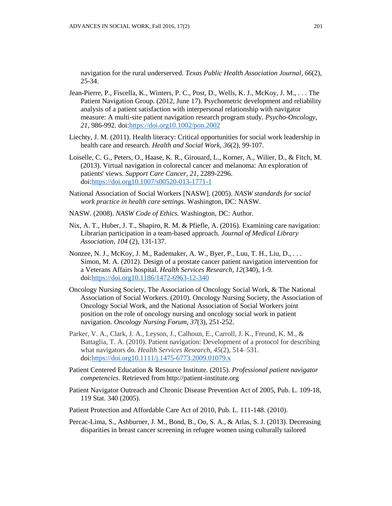navigation for the rural underserved. *Texas Public Health Association Journal, 66*(2), 25-34.

- Jean-Pierre, P., Fiscella, K., Winters, P. C., Post, D., Wells, K. J., McKoy, J. M., . . . The Patient Navigation Group. (2012, June 17). Psychometric development and reliability analysis of a patient satisfaction with interpersonal relationship with navigator measure: A multi-site patient navigation research program study. *Psycho-Oncology, 21*, 986-992. [doi:https://doi.org10.1002/pon.2002](http://doi.org/10.1002/pon.2002)
- Liechty, J. M. (2011). Health literacy: Critical opportunities for social work leadership in health care and research. *Health and Social Work, 36*(2), 99-107.
- Loiselle, C. G., Peters, O., Haase, K. R., Girouard, L., Korner, A., Wilier, D., & Fitch, M. (2013). Virtual navigation in colorectal cancer and melanoma: An exploration of patients' views. *Support Care Cancer, 21*, 2289-2296. [doi:https://doi.org10.1007/s00520-013-1771-1](http://doi.org/10.1007/s00520-013-1771-1)
- National Association of Social Workers [NASW]. (2005). *NASW standards for social work practice in health care settings.* Washington, DC: NASW.
- NASW. (2008). *NASW Code of Ethics.* Washington, DC: Author.
- Nix, A. T., Huber, J. T., Shapiro, R. M. & Pfiefle, A. (2016). Examining care navigation: Librarian participation in a team-based approach. *Journal of Medical Library Association, 104* (2), 131-137.
- Nonzee, N. J., McKoy, J. M., Rademaker, A. W., Byer, P., Luu, T. H., Liu, D., . . . Simon, M. A. (2012). Design of a prostate cancer patient navigation intervention for a Veterans Affairs hospital. *Health Services Research, 12*(340), 1-9. [doi:https://doi.org10.1186/1472-6963-12-340](http://doi.org/10.1186/1472-6963-12-340)
- Oncology Nursing Society, The Association of Oncology Social Work, & The National Association of Social Workers. (2010). Oncology Nursing Society, the Association of Oncology Social Work, and the National Association of Social Workers joint position on the role of oncology nursing and oncology social work in patient navigation. *Oncology Nursing Forum, 37*(3), 251-252.
- Parker, V. A., Clark, J. A., Leyson, J., Calhoun, E., Carroll, J. K., Freund, K. M., & Battaglia, T. A. (2010). Patient navigation: Development of a protocol for describing what navigators do. *Health Services Research*, *45*(2), 514–531. [doi:https://doi.org10.1111/j.1475-6773.2009.01079.x](http://doi.org/10.1111/j.1475-6773.2009.01079.x)
- Patient Centered Education & Resource Institute. (2015). *Professional patient navigator competencies.* Retrieved from http://patient-institute.org
- Patient Navigator Outreach and Chronic Disease Prevention Act of 2005, Pub. L. 109-18, 119 Stat. 340 (2005).
- Patient Protection and Affordable Care Act of 2010, Pub. L. 111-148. (2010).
- Percac-Lima, S., Ashburner, J. M., Bond, B., Oo, S. A., & Atlas, S. J. (2013). Decreasing disparities in breast cancer screening in refugee women using culturally tailored